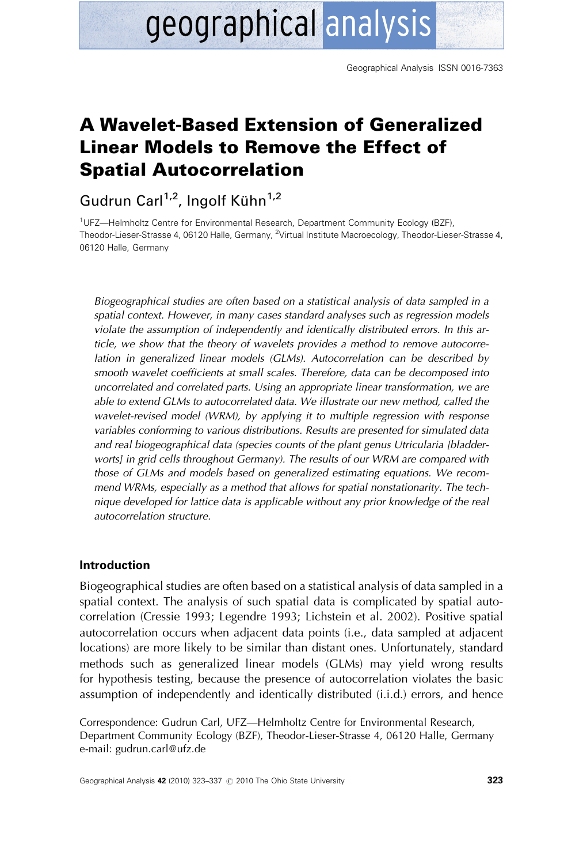# A Wavelet-Based Extension of Generalized Linear Models to Remove the Effect of Spatial Autocorrelation

Gudrun Carl<sup>1,2</sup>, Ingolf Kühn<sup>1,2</sup>

<sup>1</sup>UFZ—Helmholtz Centre for Environmental Research, Department Community Ecology (BZF), Theodor-Lieser-Strasse 4, 06120 Halle, Germany, <sup>2</sup>Virtual Institute Macroecology, Theodor-Lieser-Strasse 4, 06120 Halle, Germany

Biogeographical studies are often based on a statistical analysis of data sampled in a spatial context. However, in many cases standard analyses such as regression models violate the assumption of independently and identically distributed errors. In this article, we show that the theory of wavelets provides a method to remove autocorrelation in generalized linear models (GLMs). Autocorrelation can be described by smooth wavelet coefficients at small scales. Therefore, data can be decomposed into uncorrelated and correlated parts. Using an appropriate linear transformation, we are able to extend GLMs to autocorrelated data. We illustrate our new method, called the wavelet-revised model (WRM), by applying it to multiple regression with response variables conforming to various distributions. Results are presented for simulated data and real biogeographical data (species counts of the plant genus Utricularia [bladderworts] in grid cells throughout Germany). The results of our WRM are compared with those of GLMs and models based on generalized estimating equations. We recommend WRMs, especially as a method that allows for spatial nonstationarity. The technique developed for lattice data is applicable without any prior knowledge of the real autocorrelation structure.

#### **Introduction**

Biogeographical studies are often based on a statistical analysis of data sampled in a spatial context. The analysis of such spatial data is complicated by spatial autocorrelation (Cressie 1993; Legendre 1993; Lichstein et al. 2002). Positive spatial autocorrelation occurs when adjacent data points (i.e., data sampled at adjacent locations) are more likely to be similar than distant ones. Unfortunately, standard methods such as generalized linear models (GLMs) may yield wrong results for hypothesis testing, because the presence of autocorrelation violates the basic assumption of independently and identically distributed (i.i.d.) errors, and hence

Correspondence: Gudrun Carl, UFZ—Helmholtz Centre for Environmental Research, Department Community Ecology (BZF), Theodor-Lieser-Strasse 4, 06120 Halle, Germany e-mail: [gudrun.carl@ufz.de](mailto:gudrun.carl@ufz.de)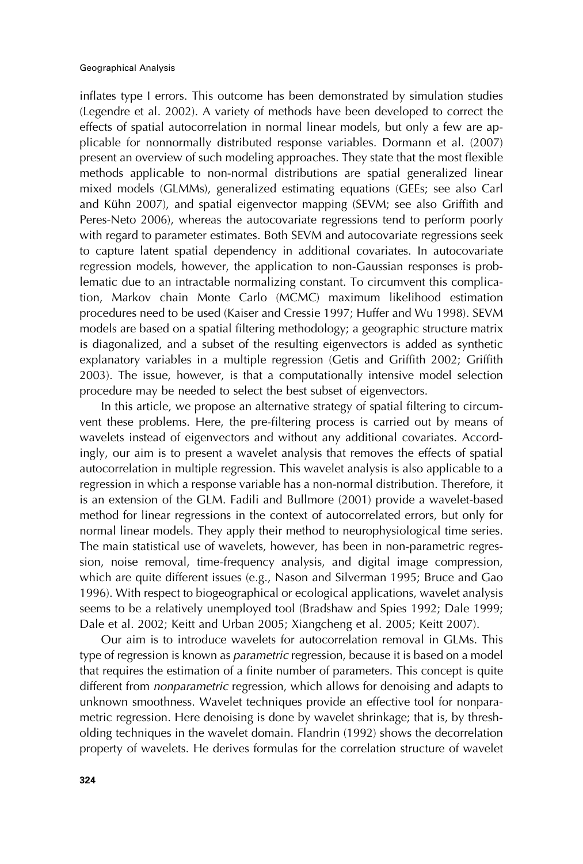inflates type I errors. This outcome has been demonstrated by simulation studies (Legendre et al. 2002). A variety of methods have been developed to correct the effects of spatial autocorrelation in normal linear models, but only a few are applicable for nonnormally distributed response variables. Dormann et al. (2007) present an overview of such modeling approaches. They state that the most flexible methods applicable to non-normal distributions are spatial generalized linear mixed models (GLMMs), generalized estimating equations (GEEs; see also Carl and Kühn 2007), and spatial eigenvector mapping (SEVM; see also Griffith and Peres-Neto 2006), whereas the autocovariate regressions tend to perform poorly with regard to parameter estimates. Both SEVM and autocovariate regressions seek to capture latent spatial dependency in additional covariates. In autocovariate regression models, however, the application to non-Gaussian responses is problematic due to an intractable normalizing constant. To circumvent this complication, Markov chain Monte Carlo (MCMC) maximum likelihood estimation procedures need to be used (Kaiser and Cressie 1997; Huffer and Wu 1998). SEVM models are based on a spatial filtering methodology; a geographic structure matrix is diagonalized, and a subset of the resulting eigenvectors is added as synthetic explanatory variables in a multiple regression (Getis and Griffith 2002; Griffith 2003). The issue, however, is that a computationally intensive model selection procedure may be needed to select the best subset of eigenvectors.

In this article, we propose an alternative strategy of spatial filtering to circumvent these problems. Here, the pre-filtering process is carried out by means of wavelets instead of eigenvectors and without any additional covariates. Accordingly, our aim is to present a wavelet analysis that removes the effects of spatial autocorrelation in multiple regression. This wavelet analysis is also applicable to a regression in which a response variable has a non-normal distribution. Therefore, it is an extension of the GLM. Fadili and Bullmore (2001) provide a wavelet-based method for linear regressions in the context of autocorrelated errors, but only for normal linear models. They apply their method to neurophysiological time series. The main statistical use of wavelets, however, has been in non-parametric regression, noise removal, time-frequency analysis, and digital image compression, which are quite different issues (e.g., Nason and Silverman 1995; Bruce and Gao 1996). With respect to biogeographical or ecological applications, wavelet analysis seems to be a relatively unemployed tool (Bradshaw and Spies 1992; Dale 1999; Dale et al. 2002; Keitt and Urban 2005; Xiangcheng et al. 2005; Keitt 2007).

Our aim is to introduce wavelets for autocorrelation removal in GLMs. This type of regression is known as *parametric* regression, because it is based on a model that requires the estimation of a finite number of parameters. This concept is quite different from *nonparametric* regression, which allows for denoising and adapts to unknown smoothness. Wavelet techniques provide an effective tool for nonparametric regression. Here denoising is done by wavelet shrinkage; that is, by thresholding techniques in the wavelet domain. Flandrin (1992) shows the decorrelation property of wavelets. He derives formulas for the correlation structure of wavelet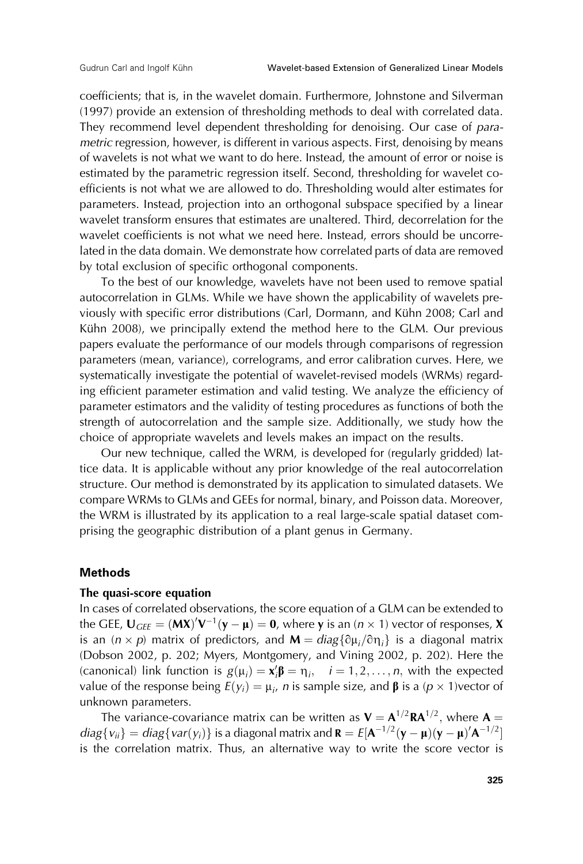coefficients; that is, in the wavelet domain. Furthermore, Johnstone and Silverman (1997) provide an extension of thresholding methods to deal with correlated data. They recommend level dependent thresholding for denoising. Our case of parametric regression, however, is different in various aspects. First, denoising by means of wavelets is not what we want to do here. Instead, the amount of error or noise is estimated by the parametric regression itself. Second, thresholding for wavelet coefficients is not what we are allowed to do. Thresholding would alter estimates for parameters. Instead, projection into an orthogonal subspace specified by a linear wavelet transform ensures that estimates are unaltered. Third, decorrelation for the wavelet coefficients is not what we need here. Instead, errors should be uncorrelated in the data domain. We demonstrate how correlated parts of data are removed by total exclusion of specific orthogonal components.

To the best of our knowledge, wavelets have not been used to remove spatial autocorrelation in GLMs. While we have shown the applicability of wavelets previously with specific error distributions (Carl, Dormann, and Kühn 2008; Carl and Kühn 2008), we principally extend the method here to the GLM. Our previous papers evaluate the performance of our models through comparisons of regression parameters (mean, variance), correlograms, and error calibration curves. Here, we systematically investigate the potential of wavelet-revised models (WRMs) regarding efficient parameter estimation and valid testing. We analyze the efficiency of parameter estimators and the validity of testing procedures as functions of both the strength of autocorrelation and the sample size. Additionally, we study how the choice of appropriate wavelets and levels makes an impact on the results.

Our new technique, called the WRM, is developed for (regularly gridded) lattice data. It is applicable without any prior knowledge of the real autocorrelation structure. Our method is demonstrated by its application to simulated datasets. We compare WRMs to GLMs and GEEs for normal, binary, and Poisson data. Moreover, the WRM is illustrated by its application to a real large-scale spatial dataset comprising the geographic distribution of a plant genus in Germany.

#### **Methods**

#### The quasi-score equation

In cases of correlated observations, the score equation of a GLM can be extended to the GEE,  ${\bf U}_{GEE}=({\bf M}{\bf X})' {\bf V}^{-1}({\bf y}-{\bf \mu})={\bf 0},$  where  ${\bf y}$  is an ( $n\times 1$ ) vector of responses,  ${\bf X}$ is an  $(n \times p)$  matrix of predictors, and  $M = diag\{\partial \mu_i/\partial \eta_i\}$  is a diagonal matrix (Dobson 2002, p. 202; Myers, Montgomery, and Vining 2002, p. 202). Here the (canonical) link function is  $g(\mu_i) = \mathbf{x}_i' \mathbf{\beta} = \eta_i$ ,  $i = 1, 2, ..., n$ , with the expected value of the response being  $E(y_i) = \mu_i$ , *n* is sample size, and  $\beta$  is a ( $p \times 1$ )vector of unknown parameters.

The variance-covariance matrix can be written as  $V = A^{1/2}RA^{1/2}$ , where  $A =$  $diag\{v_{ii}\} = diag\{var(y_i)\}$  is a diagonal matrix and  $\mathbf{R} = E[\mathbf{A}^{-1/2}(\mathbf{y}-\mathbf{\mu})(\mathbf{y}-\mathbf{\mu})'\mathbf{A}^{-1/2}]$ is the correlation matrix. Thus, an alternative way to write the score vector is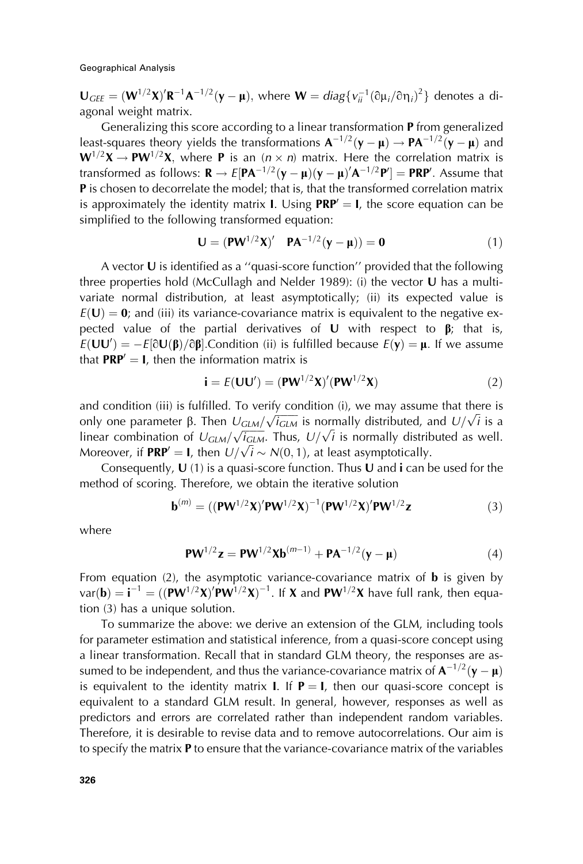$U_{GEE} = (W^{1/2}X)^{r}R^{-1}A^{-1/2}(y-\mu)$ , where  $W = diag\{v_{ii}^{-1}(\partial \mu_i/\partial \eta_i)^2\}$  denotes a diagonal weight matrix.

Generalizing this score according to a linear transformation P from generalized least-squares theory yields the transformations  $A^{-1/2}(y-\mu) \to PA^{-1/2}(y-\mu)$  and  $W^{1/2}X \rightarrow PW^{1/2}X$ , where **P** is an  $(n \times n)$  matrix. Here the correlation matrix is transformed as follows:  ${\bf R}\to E[{\bf P}{\bf A}^{-1/2}({\bf y}-{\bf \mu})({\bf y}-{\bf \mu})'{\bf A}^{-1/2}{\bf P}']= {\bf P}{\bf R}{\bf P}'.$  Assume that P is chosen to decorrelate the model; that is, that the transformed correlation matrix is approximately the identity matrix **I**. Using  $PRP' = I$ , the score equation can be simplified to the following transformed equation:

$$
U = (PW^{1/2}X)' \quad PA^{-1/2}(y - \mu)) = 0 \tag{1}
$$

A vector U is identified as a ''quasi-score function'' provided that the following three properties hold (McCullagh and Nelder 1989): (i) the vector U has a multivariate normal distribution, at least asymptotically; (ii) its expected value is  $E(\mathbf{U}) = \mathbf{0}$ ; and (iii) its variance-covariance matrix is equivalent to the negative expected value of the partial derivatives of U with respect to  $\beta$ ; that is,  $E(UU') = -E[\partial U(\beta)/\partial \beta]$ . Condition (ii) is fulfilled because  $E(y) = \mu$ . If we assume that  $PRP' = I$ , then the information matrix is

$$
\mathbf{i} = E(UU') = (\mathbf{P}W^{1/2}\mathbf{X})'(\mathbf{P}W^{1/2}\mathbf{X})
$$
 (2)

and condition (iii) is fulfilled. To verify condition (i), we may assume that there is and condition (iii) is furthed. To vertly condition (i), we may assume that there is<br>only one parameter  $\beta$ . Then  $U_{GLM}/\sqrt{i_{GLM}}$  is normally distributed, and  $U/\sqrt{i}$  is a only one parameter p. Their  $U_{GLM}/V_{GLM}$  is normally distributed, and  $U/V$  is a<br>linear combination of  $U_{GLM}/\sqrt{i_{GLM}}$ . Thus,  $U/\sqrt{i}$  is normally distributed as well. miear combination of *U<sub>GLM</sub> y IGLM*. Thus, *U*/*VT* is normally districted in Moreover, if **PRP<sup>'</sup>** = **I**, then *U*/ $\sqrt{i} \sim N(0, 1)$ , at least asymptotically.

Consequently,  $U(1)$  is a quasi-score function. Thus  $U$  and  $i$  can be used for the method of scoring. Therefore, we obtain the iterative solution

$$
\mathbf{b}^{(m)} = ((\mathbf{P}\mathbf{W}^{1/2}\mathbf{X})'\mathbf{P}\mathbf{W}^{1/2}\mathbf{X})^{-1}(\mathbf{P}\mathbf{W}^{1/2}\mathbf{X})'\mathbf{P}\mathbf{W}^{1/2}\mathbf{z}
$$
(3)

where

$$
PW^{1/2}z = PW^{1/2}Xb^{(m-1)} + PA^{-1/2}(y - \mu)
$$
 (4)

From equation (2), the asymptotic variance-covariance matrix of **b** is given by var( $\bf{b})=\bf{i}^{-1}=((PW^{1/2}X)'PW^{1/2}X)^{-1}.$  If  $\bf{X}$  and  $PW^{1/2}X$  have full rank, then equation (3) has a unique solution.

To summarize the above: we derive an extension of the GLM, including tools for parameter estimation and statistical inference, from a quasi-score concept using a linear transformation. Recall that in standard GLM theory, the responses are assumed to be independent, and thus the variance-covariance matrix of  $\mathbf{A}^{-1/2}(\mathbf{y}-\mathbf{\mu})$ is equivalent to the identity matrix **I**. If  $P = I$ , then our quasi-score concept is equivalent to a standard GLM result. In general, however, responses as well as predictors and errors are correlated rather than independent random variables. Therefore, it is desirable to revise data and to remove autocorrelations. Our aim is to specify the matrix **P** to ensure that the variance-covariance matrix of the variables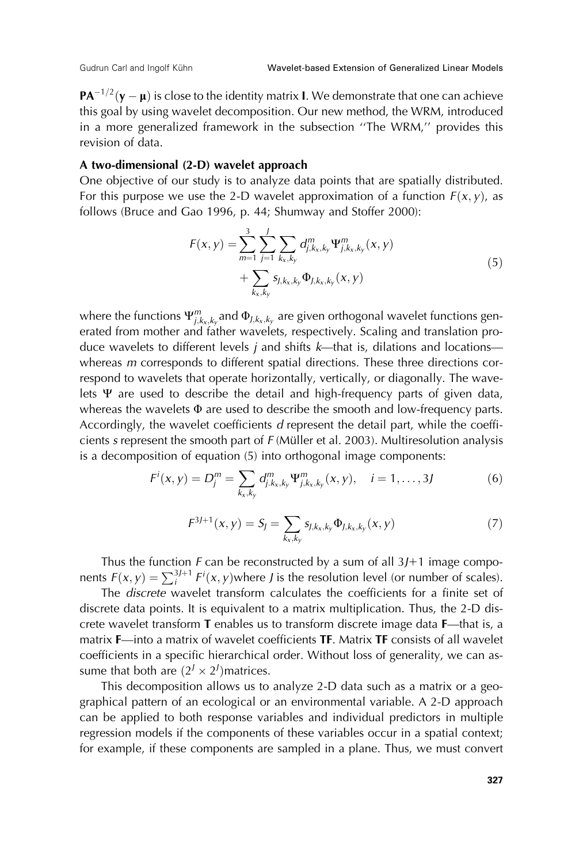**PA**<sup>-1/2</sup>( $\mathbf{y}$  –  $\mathbf{\mu}$ ) is close to the identity matrix **I**. We demonstrate that one can achieve this goal by using wavelet decomposition. Our new method, the WRM, introduced in a more generalized framework in the subsection ''The WRM,'' provides this revision of data.

#### A two-dimensional (2-D) wavelet approach

One objective of our study is to analyze data points that are spatially distributed. For this purpose we use the 2-D wavelet approximation of a function  $F(x, y)$ , as follows (Bruce and Gao 1996, p. 44; Shumway and Stoffer 2000):

$$
F(x, y) = \sum_{m=1}^{3} \sum_{j=1}^{J} \sum_{k_x, k_y} d_{j, k_x, k_y}^{m} \Psi_{j, k_x, k_y}^{m}(x, y)
$$
  
+ 
$$
\sum_{k_x, k_y} s_{j, k_x, k_y} \Phi_{j, k_x, k_y}(x, y)
$$
(5)

where the functions  $\Psi^m_{j,k_x,k_y}$ and  $\Phi_{j,k_x,k_y}$  are given orthogonal wavelet functions generated from mother and father wavelets, respectively. Scaling and translation produce wavelets to different levels *j* and shifts  $k$ —that is, dilations and locations whereas m corresponds to different spatial directions. These three directions correspond to wavelets that operate horizontally, vertically, or diagonally. The wavelets  $\Psi$  are used to describe the detail and high-frequency parts of given data, whereas the wavelets  $\Phi$  are used to describe the smooth and low-frequency parts. Accordingly, the wavelet coefficients d represent the detail part, while the coefficients s represent the smooth part of  $F(Müller et al. 2003)$ . Multiresolution analysis is a decomposition of equation (5) into orthogonal image components:

$$
F^{i}(x, y) = D_{j}^{m} = \sum_{k_{x}, k_{y}} d_{j, k_{x}, k_{y}}^{m} \Psi_{j, k_{x}, k_{y}}^{m}(x, y), \quad i = 1, ..., 3J
$$
 (6)

$$
F^{3J+1}(x, y) = S_J = \sum_{k_x, k_y} s_{J, k_x, k_y} \Phi_{J, k_x, k_y}(x, y)
$$
 (7)

Thus the function  $F$  can be reconstructed by a sum of all  $3J+1$  image components  $F(x, y) = \sum_{i}^{3j+1} F^{i}(x, y)$  where *J* is the resolution level (or number of scales).

The *discrete* wavelet transform calculates the coefficients for a finite set of discrete data points. It is equivalent to a matrix multiplication. Thus, the 2-D discrete wavelet transform  $\mathbf T$  enables us to transform discrete image data  $\mathbf F$ —that is, a matrix F—into a matrix of wavelet coefficients TF. Matrix TF consists of all wavelet coefficients in a specific hierarchical order. Without loss of generality, we can assume that both are  $(2^J \times 2^J)$  matrices.

This decomposition allows us to analyze 2-D data such as a matrix or a geographical pattern of an ecological or an environmental variable. A 2-D approach can be applied to both response variables and individual predictors in multiple regression models if the components of these variables occur in a spatial context; for example, if these components are sampled in a plane. Thus, we must convert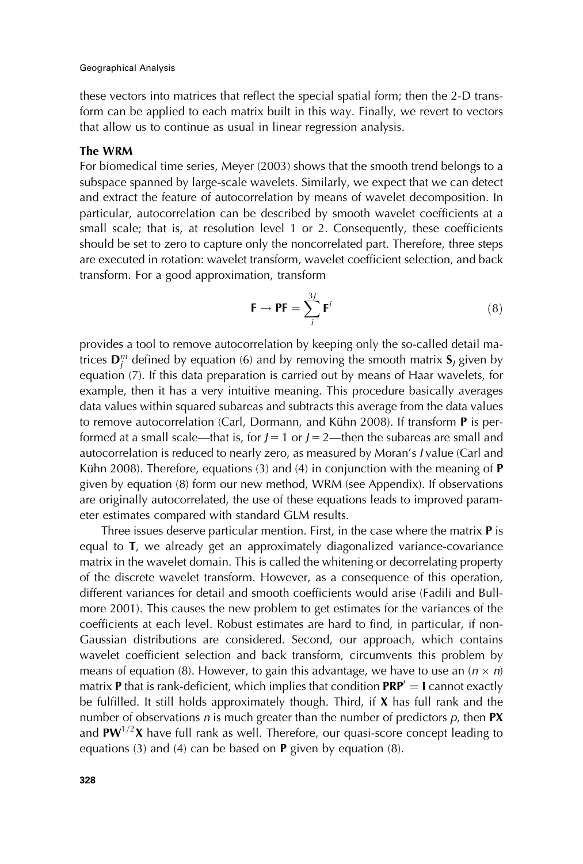these vectors into matrices that reflect the special spatial form; then the 2-D transform can be applied to each matrix built in this way. Finally, we revert to vectors that allow us to continue as usual in linear regression analysis.

## The WRM

For biomedical time series, Meyer (2003) shows that the smooth trend belongs to a subspace spanned by large-scale wavelets. Similarly, we expect that we can detect and extract the feature of autocorrelation by means of wavelet decomposition. In particular, autocorrelation can be described by smooth wavelet coefficients at a small scale; that is, at resolution level 1 or 2. Consequently, these coefficients should be set to zero to capture only the noncorrelated part. Therefore, three steps are executed in rotation: wavelet transform, wavelet coefficient selection, and back transform. For a good approximation, transform

$$
\mathbf{F} \to \mathbf{PF} = \sum_{i}^{3f} \mathbf{F}^{i}
$$
 (8)

provides a tool to remove autocorrelation by keeping only the so-called detail matrices  $\mathbf{D}_{j}^{m}$  defined by equation (6) and by removing the smooth matrix  $\mathbf{S}_{j}$  given by equation (7). If this data preparation is carried out by means of Haar wavelets, for example, then it has a very intuitive meaning. This procedure basically averages data values within squared subareas and subtracts this average from the data values to remove autocorrelation (Carl, Dormann, and Kühn 2008). If transform  $P$  is performed at a small scale—that is, for  $J = 1$  or  $J = 2$ —then the subareas are small and autocorrelation is reduced to nearly zero, as measured by Moran's I value (Carl and Kühn 2008). Therefore, equations (3) and (4) in conjunction with the meaning of **P** given by equation (8) form our new method, WRM (see Appendix). If observations are originally autocorrelated, the use of these equations leads to improved parameter estimates compared with standard GLM results.

Three issues deserve particular mention. First, in the case where the matrix  $P$  is equal to T, we already get an approximately diagonalized variance-covariance matrix in the wavelet domain. This is called the whitening or decorrelating property of the discrete wavelet transform. However, as a consequence of this operation, different variances for detail and smooth coefficients would arise (Fadili and Bullmore 2001). This causes the new problem to get estimates for the variances of the coefficients at each level. Robust estimates are hard to find, in particular, if non-Gaussian distributions are considered. Second, our approach, which contains wavelet coefficient selection and back transform, circumvents this problem by means of equation (8). However, to gain this advantage, we have to use an  $(n \times n)$ matrix **P** that is rank-deficient, which implies that condition  $PRP' = I$  cannot exactly be fulfilled. It still holds approximately though. Third, if  $X$  has full rank and the number of observations  $n$  is much greater than the number of predictors  $p$ , then PX and  $PW^{1/2}X$  have full rank as well. Therefore, our quasi-score concept leading to equations (3) and (4) can be based on **P** given by equation (8).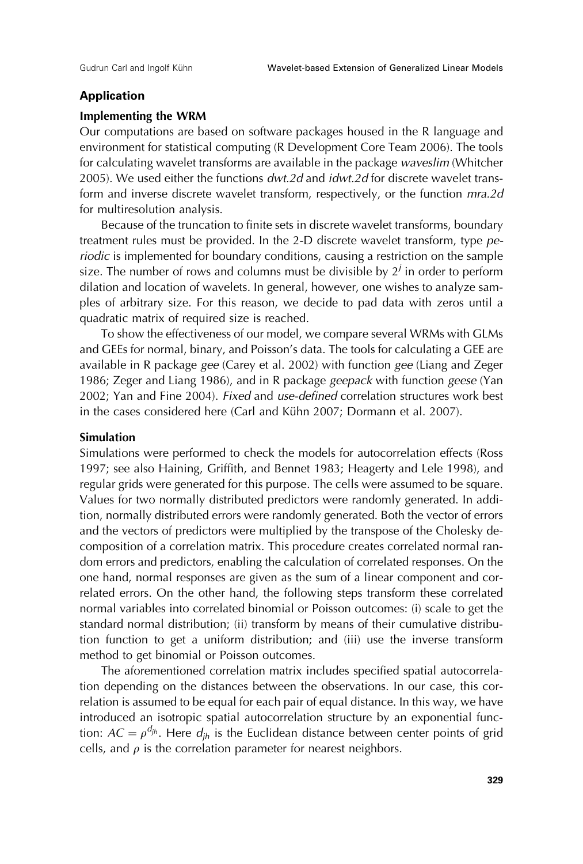#### **Application**

#### Implementing the WRM

Our computations are based on software packages housed in the R language and environment for statistical computing (R Development Core Team 2006). The tools for calculating wavelet transforms are available in the package waveslim (Whitcher 2005). We used either the functions dwt.2d and idwt.2d for discrete wavelet transform and inverse discrete wavelet transform, respectively, or the function *mra.2d* for multiresolution analysis.

Because of the truncation to finite sets in discrete wavelet transforms, boundary treatment rules must be provided. In the 2-D discrete wavelet transform, type periodic is implemented for boundary conditions, causing a restriction on the sample size. The number of rows and columns must be divisible by  $2<sup>j</sup>$  in order to perform dilation and location of wavelets. In general, however, one wishes to analyze samples of arbitrary size. For this reason, we decide to pad data with zeros until a quadratic matrix of required size is reached.

To show the effectiveness of our model, we compare several WRMs with GLMs and GEEs for normal, binary, and Poisson's data. The tools for calculating a GEE are available in R package *gee* (Carey et al. 2002) with function *gee* (Liang and Zeger 1986; Zeger and Liang 1986), and in R package geepack with function geese (Yan 2002; Yan and Fine 2004). Fixed and use-defined correlation structures work best in the cases considered here (Carl and Kühn 2007; Dormann et al. 2007).

#### Simulation

Simulations were performed to check the models for autocorrelation effects (Ross 1997; see also Haining, Griffith, and Bennet 1983; Heagerty and Lele 1998), and regular grids were generated for this purpose. The cells were assumed to be square. Values for two normally distributed predictors were randomly generated. In addition, normally distributed errors were randomly generated. Both the vector of errors and the vectors of predictors were multiplied by the transpose of the Cholesky decomposition of a correlation matrix. This procedure creates correlated normal random errors and predictors, enabling the calculation of correlated responses. On the one hand, normal responses are given as the sum of a linear component and correlated errors. On the other hand, the following steps transform these correlated normal variables into correlated binomial or Poisson outcomes: (i) scale to get the standard normal distribution; (ii) transform by means of their cumulative distribution function to get a uniform distribution; and (iii) use the inverse transform method to get binomial or Poisson outcomes.

The aforementioned correlation matrix includes specified spatial autocorrelation depending on the distances between the observations. In our case, this correlation is assumed to be equal for each pair of equal distance. In this way, we have introduced an isotropic spatial autocorrelation structure by an exponential function:  $AC = \rho^{d_{jh}}$ . Here  $d_{ih}$  is the Euclidean distance between center points of grid cells, and  $\rho$  is the correlation parameter for nearest neighbors.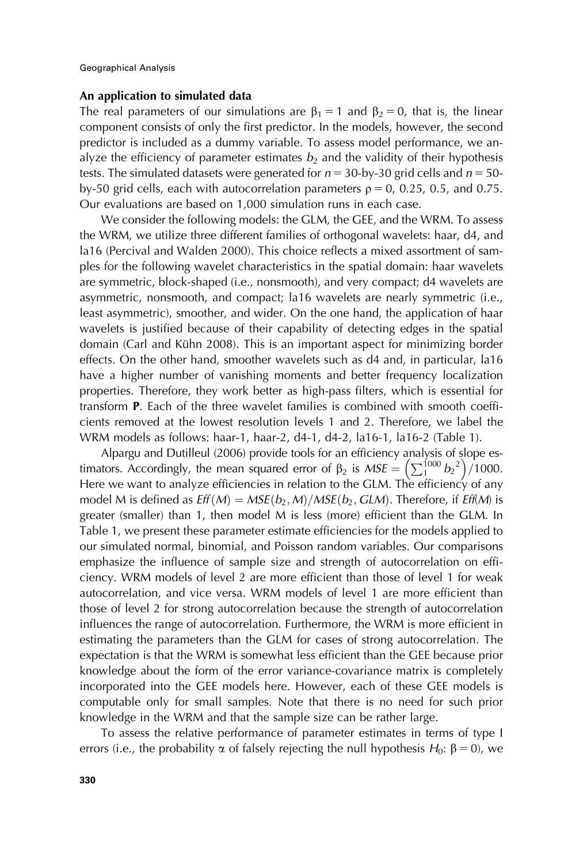#### An application to simulated data

The real parameters of our simulations are  $\beta_1 = 1$  and  $\beta_2 = 0$ , that is, the linear component consists of only the first predictor. In the models, however, the second predictor is included as a dummy variable. To assess model performance, we analyze the efficiency of parameter estimates  $b_2$  and the validity of their hypothesis tests. The simulated datasets were generated for  $n = 30$ -by-30 grid cells and  $n = 50$ by-50 grid cells, each with autocorrelation parameters  $p = 0$ , 0.25, 0.5, and 0.75. Our evaluations are based on 1,000 simulation runs in each case.

We consider the following models: the GLM, the GEE, and the WRM. To assess the WRM, we utilize three different families of orthogonal wavelets: haar, d4, and la16 (Percival and Walden 2000). This choice reflects a mixed assortment of samples for the following wavelet characteristics in the spatial domain: haar wavelets are symmetric, block-shaped (i.e., nonsmooth), and very compact; d4 wavelets are asymmetric, nonsmooth, and compact; la16 wavelets are nearly symmetric (i.e., least asymmetric), smoother, and wider. On the one hand, the application of haar wavelets is justified because of their capability of detecting edges in the spatial domain (Carl and Kühn 2008). This is an important aspect for minimizing border effects. On the other hand, smoother wavelets such as d4 and, in particular, la16 have a higher number of vanishing moments and better frequency localization properties. Therefore, they work better as high-pass filters, which is essential for transform P. Each of the three wavelet families is combined with smooth coefficients removed at the lowest resolution levels 1 and 2. Therefore, we label the WRM models as follows: haar-1, haar-2, d4-1, d4-2, la16-1, la16-2 (Table 1).

Alpargu and Dutilleul (2006) provide tools for an efficiency analysis of slope es-Apargu and Dutified (2006) provide tools for an entitleticy analysis of slope es-<br>timators. Accordingly, the mean squared error of  $\beta_2$  is  $MSE = \left(\sum_{1}^{1000} b_2^2\right)/1000$ . Here we want to analyze efficiencies in relation to the GLM. The efficiency of any model M is defined as  $Eff(M) = MSE(b_2, M)/MSE(b_2, GLM)$ . Therefore, if  $Eff(M)$  is greater (smaller) than 1, then model M is less (more) efficient than the GLM. In Table 1, we present these parameter estimate efficiencies for the models applied to our simulated normal, binomial, and Poisson random variables. Our comparisons emphasize the influence of sample size and strength of autocorrelation on efficiency. WRM models of level 2 are more efficient than those of level 1 for weak autocorrelation, and vice versa. WRM models of level 1 are more efficient than those of level 2 for strong autocorrelation because the strength of autocorrelation influences the range of autocorrelation. Furthermore, the WRM is more efficient in estimating the parameters than the GLM for cases of strong autocorrelation. The expectation is that the WRM is somewhat less efficient than the GEE because prior knowledge about the form of the error variance-covariance matrix is completely incorporated into the GEE models here. However, each of these GEE models is computable only for small samples. Note that there is no need for such prior knowledge in the WRM and that the sample size can be rather large.

To assess the relative performance of parameter estimates in terms of type I errors (i.e., the probability  $\alpha$  of falsely rejecting the null hypothesis  $H_0$ :  $\beta = 0$ ), we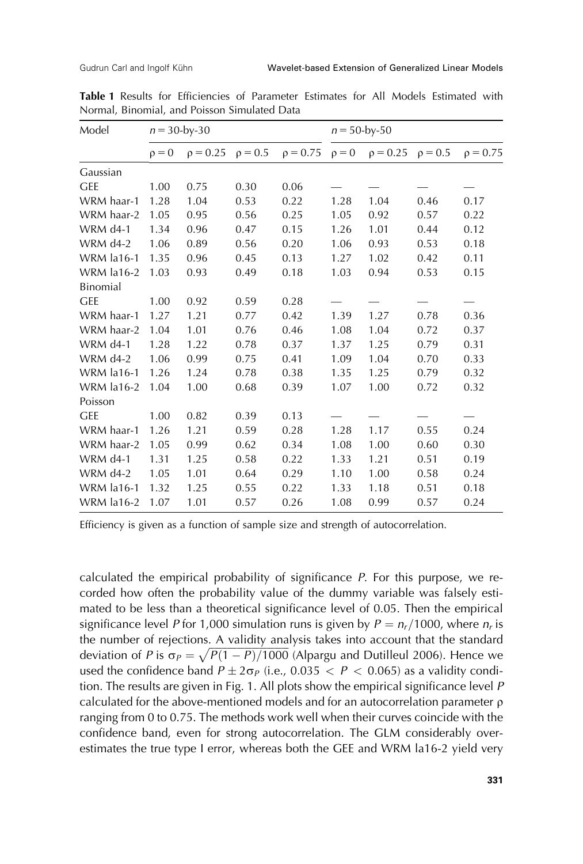| $n = 30$ -by-30 |            |              |               | $n = 50$ -by-50 |      |              |               |
|-----------------|------------|--------------|---------------|-----------------|------|--------------|---------------|
| $\rho = 0$      | $p = 0.25$ | $\rho = 0.5$ | $\rho = 0.75$ | $\rho = 0$      |      | $\rho = 0.5$ | $\rho = 0.75$ |
|                 |            |              |               |                 |      |              |               |
| 1.00            | 0.75       | 0.30         | 0.06          |                 |      |              |               |
| 1.28            | 1.04       | 0.53         | 0.22          | 1.28            | 1.04 | 0.46         | 0.17          |
| 1.05            | 0.95       | 0.56         | 0.25          | 1.05            | 0.92 | 0.57         | 0.22          |
| 1.34            | 0.96       | 0.47         | 0.15          | 1.26            | 1.01 | 0.44         | 0.12          |
| 1.06            | 0.89       | 0.56         | 0.20          | 1.06            | 0.93 | 0.53         | 0.18          |
| 1.35            | 0.96       | 0.45         | 0.13          | 1.27            | 1.02 | 0.42         | 0.11          |
| 1.03            | 0.93       | 0.49         | 0.18          | 1.03            | 0.94 | 0.53         | 0.15          |
|                 |            |              |               |                 |      |              |               |
| 1.00            | 0.92       | 0.59         | 0.28          |                 |      |              |               |
| 1.27            | 1.21       | 0.77         | 0.42          | 1.39            | 1.27 | 0.78         | 0.36          |
| 1.04            | 1.01       | 0.76         | 0.46          | 1.08            | 1.04 | 0.72         | 0.37          |
| 1.28            | 1.22       | 0.78         | 0.37          | 1.37            | 1.25 | 0.79         | 0.31          |
| 1.06            | 0.99       | 0.75         | 0.41          | 1.09            | 1.04 | 0.70         | 0.33          |
| 1.26            | 1.24       | 0.78         | 0.38          | 1.35            | 1.25 | 0.79         | 0.32          |
| 1.04            | 1.00       | 0.68         | 0.39          | 1.07            | 1.00 | 0.72         | 0.32          |
|                 |            |              |               |                 |      |              |               |
| 1.00            | 0.82       | 0.39         | 0.13          |                 |      |              |               |
| 1.26            | 1.21       | 0.59         | 0.28          | 1.28            | 1.17 | 0.55         | 0.24          |
| 1.05            | 0.99       | 0.62         | 0.34          | 1.08            | 1.00 | 0.60         | 0.30          |
| 1.31            | 1.25       | 0.58         | 0.22          | 1.33            | 1.21 | 0.51         | 0.19          |
| 1.05            | 1.01       | 0.64         | 0.29          | 1.10            | 1.00 | 0.58         | 0.24          |
| 1.32            | 1.25       | 0.55         | 0.22          | 1.33            | 1.18 | 0.51         | 0.18          |
| 1.07            | 1.01       | 0.57         | 0.26          | 1.08            | 0.99 | 0.57         | 0.24          |
|                 |            |              |               |                 |      |              | $\rho = 0.25$ |

Table 1 Results for Efficiencies of Parameter Estimates for All Models Estimated with Normal, Binomial, and Poisson Simulated Data

Efficiency is given as a function of sample size and strength of autocorrelation.

calculated the empirical probability of significance  $P$ . For this purpose, we recorded how often the probability value of the dummy variable was falsely estimated to be less than a theoretical significance level of 0.05. Then the empirical significance level P for 1,000 simulation runs is given by  $P = n_r/1000$ , where  $n_r$  is the number of rejections. A validity analysis takes into account that the standard deviation of P is  $\sigma_P = \sqrt{P(1 - P)/1000}$  (Alpargu and Dutilleul 2006). Hence we used the confidence band  $P \pm 2\sigma_P$  (i.e., 0.035  $\lt P \lt 0.065$ ) as a validity condition. The results are given in Fig. 1. All plots show the empirical significance level P calculated for the above-mentioned models and for an autocorrelation parameter  $\rho$ ranging from 0 to 0.75. The methods work well when their curves coincide with the confidence band, even for strong autocorrelation. The GLM considerably overestimates the true type I error, whereas both the GEE and WRM la16-2 yield very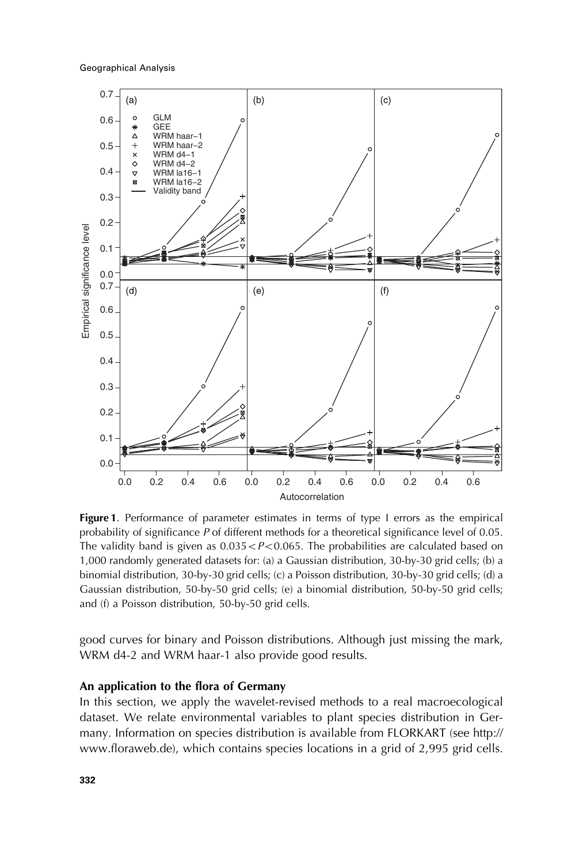

**Figure 1.** Performance of parameter estimates in terms of type I errors as the empirical probability of significance P of different methods for a theoretical significance level of 0.05. The validity band is given as  $0.035 < P < 0.065$ . The probabilities are calculated based on 1,000 randomly generated datasets for: (a) a Gaussian distribution, 30-by-30 grid cells; (b) a binomial distribution, 30-by-30 grid cells; (c) a Poisson distribution, 30-by-30 grid cells; (d) a Gaussian distribution, 50-by-50 grid cells; (e) a binomial distribution, 50-by-50 grid cells; and (f) a Poisson distribution, 50-by-50 grid cells.

good curves for binary and Poisson distributions. Although just missing the mark, WRM d4-2 and WRM haar-1 also provide good results.

## An application to the flora of Germany

In this section, we apply the wavelet-revised methods to a real macroecological dataset. We relate environmental variables to plant species distribution in Germany. Information on species distribution is available from FLORKART (see [http://](http://www.floraweb.de) [www.floraweb.de\)](http://www.floraweb.de), which contains species locations in a grid of 2,995 grid cells.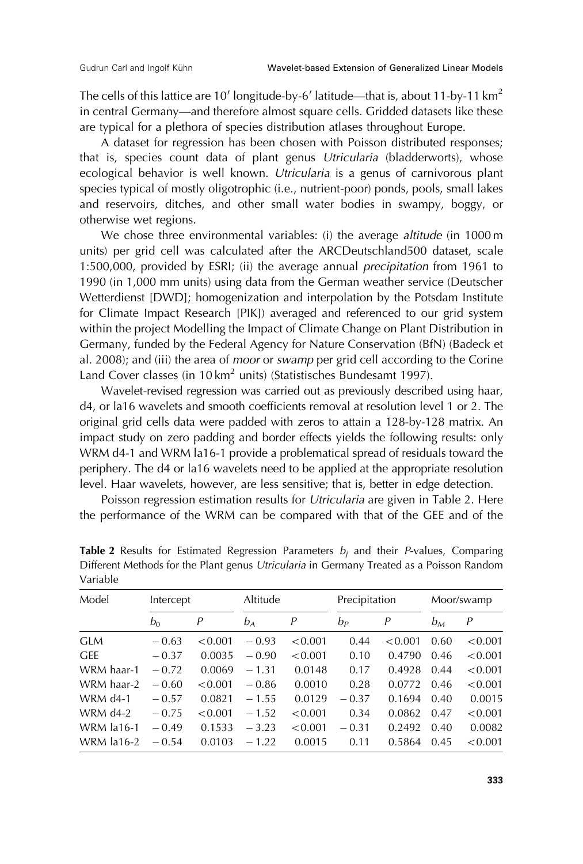The cells of this lattice are 10' longitude-by-6' latitude—that is, about 11-by-11  $km^2$ in central Germany—and therefore almost square cells. Gridded datasets like these are typical for a plethora of species distribution atlases throughout Europe.

A dataset for regression has been chosen with Poisson distributed responses; that is, species count data of plant genus Utricularia (bladderworts), whose ecological behavior is well known. Utricularia is a genus of carnivorous plant species typical of mostly oligotrophic (i.e., nutrient-poor) ponds, pools, small lakes and reservoirs, ditches, and other small water bodies in swampy, boggy, or otherwise wet regions.

We chose three environmental variables: (i) the average *altitude* (in 1000 m units) per grid cell was calculated after the ARCDeutschland500 dataset, scale 1:500,000, provided by ESRI; (ii) the average annual precipitation from 1961 to 1990 (in 1,000 mm units) using data from the German weather service (Deutscher Wetterdienst [DWD]; homogenization and interpolation by the Potsdam Institute for Climate Impact Research [PIK]) averaged and referenced to our grid system within the project Modelling the Impact of Climate Change on Plant Distribution in Germany, funded by the Federal Agency for Nature Conservation (BfN) (Badeck et al. 2008); and (iii) the area of moor or swamp per grid cell according to the Corine Land Cover classes (in 10 km<sup>2</sup> units) (Statistisches Bundesamt 1997).

Wavelet-revised regression was carried out as previously described using haar, d4, or la16 wavelets and smooth coefficients removal at resolution level 1 or 2. The original grid cells data were padded with zeros to attain a 128-by-128 matrix. An impact study on zero padding and border effects yields the following results: only WRM d4-1 and WRM la16-1 provide a problematical spread of residuals toward the periphery. The d4 or la16 wavelets need to be applied at the appropriate resolution level. Haar wavelets, however, are less sensitive; that is, better in edge detection.

Poisson regression estimation results for Utricularia are given in Table 2. Here the performance of the WRM can be compared with that of the GEE and of the

| Model             | Intercept |         | Altitude |         | Precipitation |         | Moor/swamp |         |
|-------------------|-----------|---------|----------|---------|---------------|---------|------------|---------|
|                   | $b_0$     | P       | $b_A$    | P       | $b_P$         | Р       | $b_M$      | Р       |
| <b>GLM</b>        | $-0.63$   | < 0.001 | $-0.93$  | < 0.001 | 0.44          | < 0.001 | 0.60       | < 0.001 |
| <b>GEE</b>        | $-0.37$   | 0.0035  | $-0.90$  | < 0.001 | 0.10          | 0.4790  | 0.46       | < 0.001 |
| WRM haar-1        | $-0.72$   | 0.0069  | $-1.31$  | 0.0148  | 0.17          | 0.4928  | 0.44       | < 0.001 |
| WRM haar-2        | $-0.60$   | < 0.001 | $-0.86$  | 0.0010  | 0.28          | 0.0772  | 0.46       | < 0.001 |
| WRM d4-1          | $-0.57$   | 0.0821  | $-1.55$  | 0.0129  | $-0.37$       | 0.1694  | 0.40       | 0.0015  |
| WRM $d4-2$        | $-0.75$   | < 0.001 | $-1.52$  | < 0.001 | 0.34          | 0.0862  | 0.47       | < 0.001 |
| WRM la16-1        | $-0.49$   | 0.1533  | $-3.23$  | < 0.001 | $-0.31$       | 0.2492  | 0.40       | 0.0082  |
| <b>WRM</b> la16-2 | $-0.54$   | 0.0103  | $-1.22$  | 0.0015  | 0.11          | 0.5864  | 0.45       | < 0.001 |

**Table 2** Results for Estimated Regression Parameters  $b_i$  and their P-values, Comparing Different Methods for the Plant genus Utricularia in Germany Treated as a Poisson Random Variable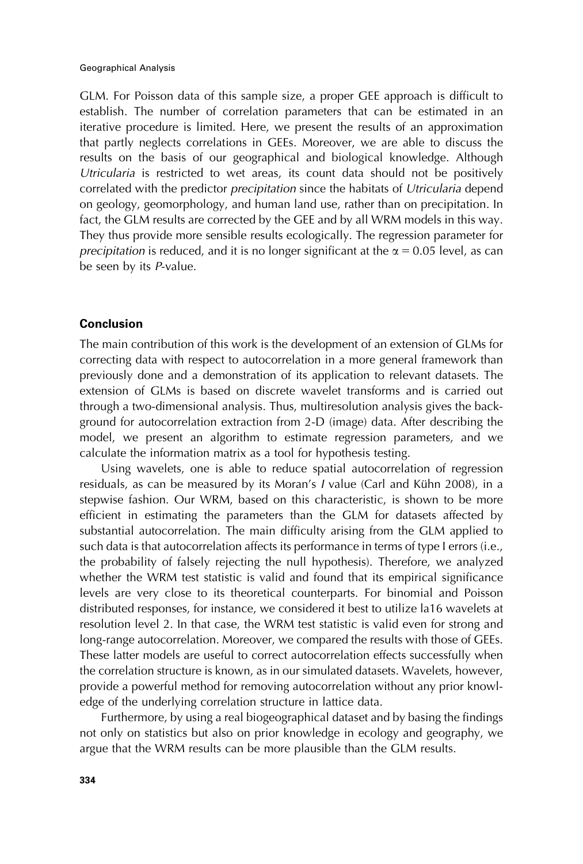GLM. For Poisson data of this sample size, a proper GEE approach is difficult to establish. The number of correlation parameters that can be estimated in an iterative procedure is limited. Here, we present the results of an approximation that partly neglects correlations in GEEs. Moreover, we are able to discuss the results on the basis of our geographical and biological knowledge. Although Utricularia is restricted to wet areas, its count data should not be positively correlated with the predictor *precipitation* since the habitats of Utricularia depend on geology, geomorphology, and human land use, rather than on precipitation. In fact, the GLM results are corrected by the GEE and by all WRM models in this way. They thus provide more sensible results ecologically. The regression parameter for precipitation is reduced, and it is no longer significant at the  $\alpha$  = 0.05 level, as can be seen by its P-value.

#### **Conclusion**

The main contribution of this work is the development of an extension of GLMs for correcting data with respect to autocorrelation in a more general framework than previously done and a demonstration of its application to relevant datasets. The extension of GLMs is based on discrete wavelet transforms and is carried out through a two-dimensional analysis. Thus, multiresolution analysis gives the background for autocorrelation extraction from 2-D (image) data. After describing the model, we present an algorithm to estimate regression parameters, and we calculate the information matrix as a tool for hypothesis testing.

Using wavelets, one is able to reduce spatial autocorrelation of regression residuals, as can be measured by its Moran's I value (Carl and Kühn 2008), in a stepwise fashion. Our WRM, based on this characteristic, is shown to be more efficient in estimating the parameters than the GLM for datasets affected by substantial autocorrelation. The main difficulty arising from the GLM applied to such data is that autocorrelation affects its performance in terms of type I errors (i.e., the probability of falsely rejecting the null hypothesis). Therefore, we analyzed whether the WRM test statistic is valid and found that its empirical significance levels are very close to its theoretical counterparts. For binomial and Poisson distributed responses, for instance, we considered it best to utilize la16 wavelets at resolution level 2. In that case, the WRM test statistic is valid even for strong and long-range autocorrelation. Moreover, we compared the results with those of GEEs. These latter models are useful to correct autocorrelation effects successfully when the correlation structure is known, as in our simulated datasets. Wavelets, however, provide a powerful method for removing autocorrelation without any prior knowledge of the underlying correlation structure in lattice data.

Furthermore, by using a real biogeographical dataset and by basing the findings not only on statistics but also on prior knowledge in ecology and geography, we argue that the WRM results can be more plausible than the GLM results.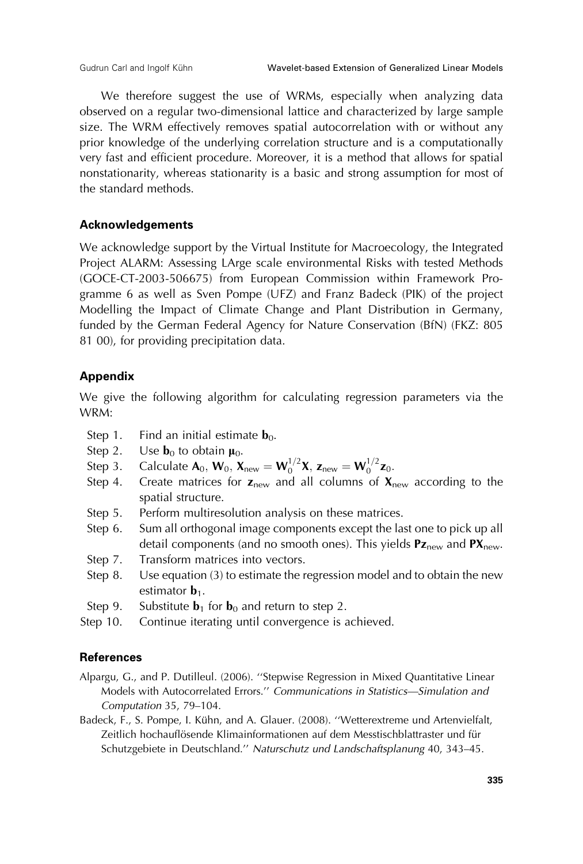We therefore suggest the use of WRMs, especially when analyzing data observed on a regular two-dimensional lattice and characterized by large sample size. The WRM effectively removes spatial autocorrelation with or without any prior knowledge of the underlying correlation structure and is a computationally very fast and efficient procedure. Moreover, it is a method that allows for spatial nonstationarity, whereas stationarity is a basic and strong assumption for most of the standard methods.

# **Acknowledgements**

We acknowledge support by the Virtual Institute for Macroecology, the Integrated Project ALARM: Assessing LArge scale environmental Risks with tested Methods (GOCE-CT-2003-506675) from European Commission within Framework Programme 6 as well as Sven Pompe (UFZ) and Franz Badeck (PIK) of the project Modelling the Impact of Climate Change and Plant Distribution in Germany, funded by the German Federal Agency for Nature Conservation (BfN) (FKZ: 805 81 00), for providing precipitation data.

# **Appendix**

We give the following algorithm for calculating regression parameters via the WRM:

- Step 1. Find an initial estimate  $\mathbf{b}_0$ .
- Step 2. Use  $\mathbf{b}_0$  to obtain  $\mathbf{\mu}_0$ .
- Step 3. Calculate  $A_0$ ,  $W_0$ ,  $X_{\text{new}} = W_0^{1/2} X$ ,  $Z_{\text{new}} = W_0^{1/2} Z_0$ .
- Step 4. Create matrices for  $z_{\text{new}}$  and all columns of  $X_{\text{new}}$  according to the spatial structure.
- Step 5. Perform multiresolution analysis on these matrices.
- Step 6. Sum all orthogonal image components except the last one to pick up all detail components (and no smooth ones). This yields  $Pz_{new}$  and  $PX_{new}$ .
- Step 7. Transform matrices into vectors.
- Step 8. Use equation (3) to estimate the regression model and to obtain the new estimator  $\mathbf{b}_1$ .
- Step 9. Substitute  **for**  $**b**<sub>0</sub>$  **and return to step 2.**
- Step 10. Continue iterating until convergence is achieved.

# **References**

- Alpargu, G., and P. Dutilleul. (2006). ''Stepwise Regression in Mixed Quantitative Linear Models with Autocorrelated Errors.'' Communications in Statistics—Simulation and Computation 35, 79–104.
- Badeck, F., S. Pompe, I. Kühn, and A. Glauer. (2008). "Wetterextreme und Artenvielfalt, Zeitlich hochauflösende Klimainformationen auf dem Messtischblattraster und für Schutzgebiete in Deutschland.'' Naturschutz und Landschaftsplanung 40, 343–45.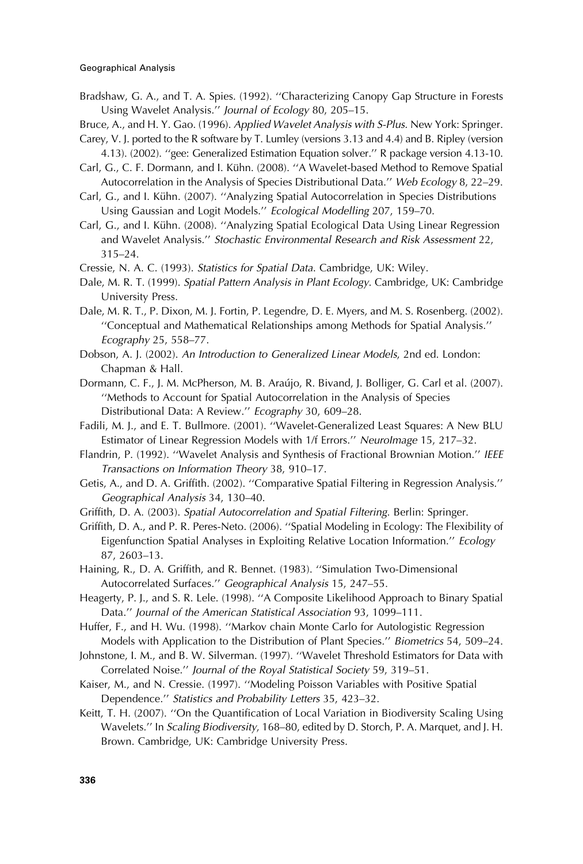- Bradshaw, G. A., and T. A. Spies. (1992). ''Characterizing Canopy Gap Structure in Forests Using Wavelet Analysis.'' Journal of Ecology 80, 205–15.
- Bruce, A., and H. Y. Gao. (1996). Applied Wavelet Analysis with S-Plus. New York: Springer.
- Carey, V. J. ported to the R software by T. Lumley (versions 3.13 and 4.4) and B. Ripley (version 4.13). (2002). ''gee: Generalized Estimation Equation solver.'' R package version 4.13-10.
- Carl, G., C. F. Dormann, and I. Kühn. (2008). "A Wavelet-based Method to Remove Spatial Autocorrelation in the Analysis of Species Distributional Data.'' Web Ecology 8, 22–29.
- Carl, G., and I. Kühn. (2007). "Analyzing Spatial Autocorrelation in Species Distributions Using Gaussian and Logit Models.'' Ecological Modelling 207, 159–70.
- Carl, G., and I. Kühn. (2008). "Analyzing Spatial Ecological Data Using Linear Regression and Wavelet Analysis.'' Stochastic Environmental Research and Risk Assessment 22, 315–24.
- Cressie, N. A. C. (1993). Statistics for Spatial Data. Cambridge, UK: Wiley.
- Dale, M. R. T. (1999). Spatial Pattern Analysis in Plant Ecology. Cambridge, UK: Cambridge University Press.
- Dale, M. R. T., P. Dixon, M. J. Fortin, P. Legendre, D. E. Myers, and M. S. Rosenberg. (2002). ''Conceptual and Mathematical Relationships among Methods for Spatial Analysis.'' Ecography 25, 558–77.
- Dobson, A. J. (2002). An Introduction to Generalized Linear Models, 2nd ed. London: Chapman & Hall.
- Dormann, C. F., J. M. McPherson, M. B. Araújo, R. Bivand, J. Bolliger, G. Carl et al. (2007). ''Methods to Account for Spatial Autocorrelation in the Analysis of Species Distributional Data: A Review.'' Ecography 30, 609–28.
- Fadili, M. J., and E. T. Bullmore. (2001). ''Wavelet-Generalized Least Squares: A New BLU Estimator of Linear Regression Models with 1/f Errors.'' NeuroImage 15, 217–32.
- Flandrin, P. (1992). "Wavelet Analysis and Synthesis of Fractional Brownian Motion." IEEE Transactions on Information Theory 38, 910–17.
- Getis, A., and D. A. Griffith. (2002). ''Comparative Spatial Filtering in Regression Analysis.'' Geographical Analysis 34, 130–40.
- Griffith, D. A. (2003). Spatial Autocorrelation and Spatial Filtering. Berlin: Springer.
- Griffith, D. A., and P. R. Peres-Neto. (2006). ''Spatial Modeling in Ecology: The Flexibility of Eigenfunction Spatial Analyses in Exploiting Relative Location Information.'' Ecology 87, 2603–13.
- Haining, R., D. A. Griffith, and R. Bennet. (1983). ''Simulation Two-Dimensional Autocorrelated Surfaces.'' Geographical Analysis 15, 247–55.
- Heagerty, P. J., and S. R. Lele. (1998). ''A Composite Likelihood Approach to Binary Spatial Data.'' Journal of the American Statistical Association 93, 1099–111.
- Huffer, F., and H. Wu. (1998). ''Markov chain Monte Carlo for Autologistic Regression Models with Application to the Distribution of Plant Species.'' Biometrics 54, 509–24.
- Johnstone, I. M., and B. W. Silverman. (1997). ''Wavelet Threshold Estimators for Data with Correlated Noise.'' Journal of the Royal Statistical Society 59, 319–51.
- Kaiser, M., and N. Cressie. (1997). ''Modeling Poisson Variables with Positive Spatial Dependence.'' Statistics and Probability Letters 35, 423–32.
- Keitt, T. H. (2007). ''On the Quantification of Local Variation in Biodiversity Scaling Using Wavelets." In Scaling Biodiversity, 168–80, edited by D. Storch, P. A. Marquet, and J. H. Brown. Cambridge, UK: Cambridge University Press.